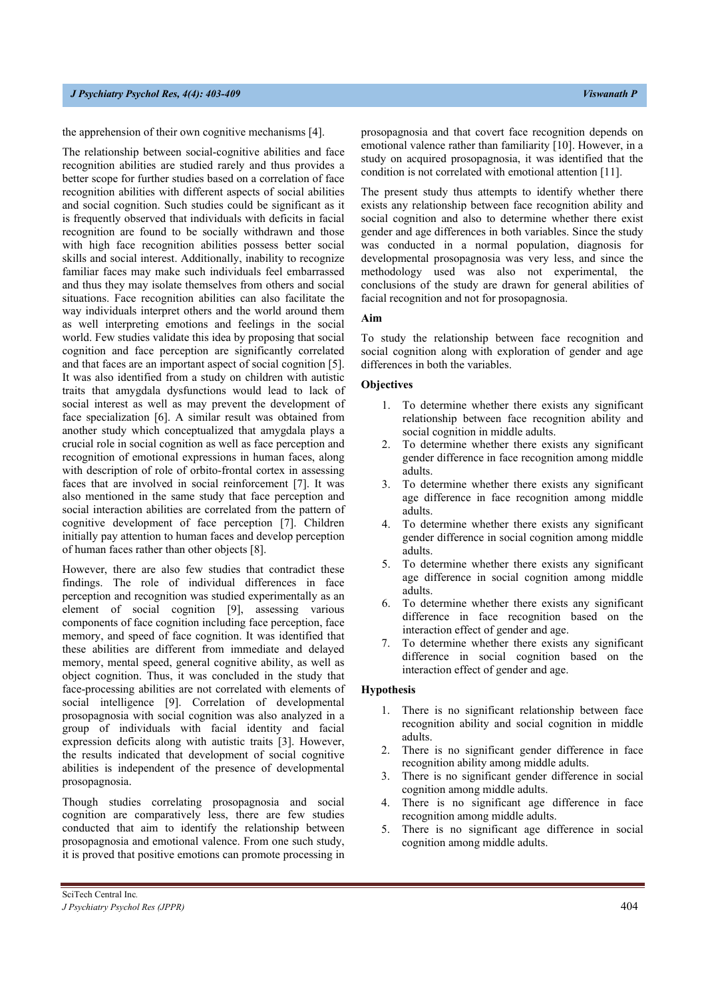### *J Psychiatry Psychol Res, 4(2): 402-408 Viswanath P*

the apprehension of their own cognitive mechanisms [4].

The relationship between social-cognitive abilities and face recognition abilities are studied rarely and thus provides a better scope for further studies based on a correlation of face recognition abilities with different aspects of social abilities and social cognition. Such studies could be significant as it is frequently observed that individuals with deficits in facial recognition are found to be socially withdrawn and those with high face recognition abilities possess better social skills and social interest. Additionally, inability to recognize familiar faces may make such individuals feel embarrassed and thus they may isolate themselves from others and social situations. Face recognition abilities can also facilitate the way individuals interpret others and the world around them as well interpreting emotions and feelings in the social world. Few studies validate this idea by proposing that social cognition and face perception are significantly correlated and that faces are an important aspect of social cognition [5]. It was also identified from a study on children with autistic traits that amygdala dysfunctions would lead to lack of social interest as well as may prevent the development of face specialization [6]. A similar result was obtained from another study which conceptualized that amygdala plays a crucial role in social cognition as well as face perception and recognition of emotional expressions in human faces, along with description of role of orbito-frontal cortex in assessing faces that are involved in social reinforcement [7]. It was also mentioned in the same study that face perception and social interaction abilities are correlated from the pattern of cognitive development of face perception [7]. Children initially pay attention to human faces and develop perception of human faces rather than other objects [8].

However, there are also few studies that contradict these findings. The role of individual differences in face perception and recognition was studied experimentally as an element of social cognition [9], assessing various components of face cognition including face perception, face memory, and speed of face cognition. It was identified that these abilities are different from immediate and delayed memory, mental speed, general cognitive ability, as well as object cognition. Thus, it was concluded in the study that face-processing abilities are not correlated with elements of social intelligence [9]. Correlation of developmental prosopagnosia with social cognition was also analyzed in a group of individuals with facial identity and facial expression deficits along with autistic traits [3]. However, the results indicated that development of social cognitive abilities is independent of the presence of developmental prosopagnosia.

Though studies correlating prosopagnosia and social cognition are comparatively less, there are few studies conducted that aim to identify the relationship between prosopagnosia and emotional valence. From one such study, it is proved that positive emotions can promote processing in prosopagnosia and that covert face recognition depends on emotional valence rather than familiarity [10]. However, in a study on acquired prosopagnosia, it was identified that the condition is not correlated with emotional attention [11].

The present study thus attempts to identify whether there exists any relationship between face recognition ability and social cognition and also to determine whether there exist gender and age differences in both variables. Since the study was conducted in a normal population, diagnosis for developmental prosopagnosia was very less, and since the methodology used was also not experimental, the conclusions of the study are drawn for general abilities of facial recognition and not for prosopagnosia.

### **Aim**

To study the relationship between face recognition and social cognition along with exploration of gender and age differences in both the variables.

### **Objectives**

- 1. To determine whether there exists any significant relationship between face recognition ability and social cognition in middle adults.
- 2. To determine whether there exists any significant gender difference in face recognition among middle adults.
- 3. To determine whether there exists any significant age difference in face recognition among middle adults.
- 4. To determine whether there exists any significant gender difference in social cognition among middle adults.
- 5. To determine whether there exists any significant age difference in social cognition among middle adults.
- 6. To determine whether there exists any significant difference in face recognition based on the interaction effect of gender and age.
- 7. To determine whether there exists any significant difference in social cognition based on the interaction effect of gender and age.

#### **Hypothesis**

- 1. There is no significant relationship between face recognition ability and social cognition in middle adults.
- 2. There is no significant gender difference in face recognition ability among middle adults.
- 3. There is no significant gender difference in social cognition among middle adults.
- 4. There is no significant age difference in face recognition among middle adults.
- 5. There is no significant age difference in social cognition among middle adults.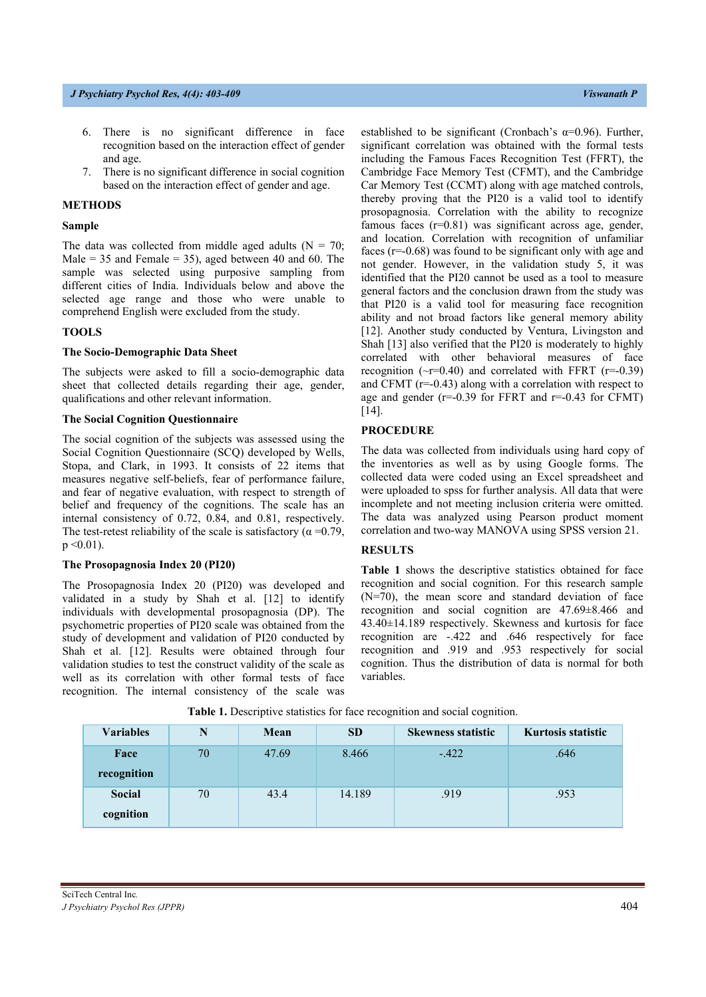- 6. There is no significant difference in face recognition based on the interaction effect of gender and age.
- 7. There is no significant difference in social cognition based on the interaction effect of gender and age.

### **METHODS**

# **Sample**

The data was collected from middle aged adults ( $N = 70$ ; Male = 35 and Female = 35), aged between 40 and 60. The sample was selected using purposive sampling from different cities of India. Individuals below and above the selected age range and those who were unable to comprehend English were excluded from the study.

# **TOOLS**

#### **The Socio-Demographic Data Sheet**

The subjects were asked to fill a socio-demographic data sheet that collected details regarding their age, gender, qualifications and other relevant information.

## **The Social Cognition Questionnaire**

The social cognition of the subjects was assessed using the Social Cognition Questionnaire (SCQ) developed by Wells, Stopa, and Clark, in 1993. It consists of 22 items that measures negative self-beliefs, fear of performance failure, and fear of negative evaluation, with respect to strength of belief and frequency of the cognitions. The scale has an internal consistency of 0.72, 0.84, and 0.81, respectively. The test-retest reliability of the scale is satisfactory ( $\alpha = 0.79$ ,  $p \leq 0.01$ ).

### **The Prosopagnosia Index 20 (PI20)**

The Prosopagnosia Index 20 (PI20) was developed and validated in a study by Shah et al. [12] to identify individuals with developmental prosopagnosia (DP). The psychometric properties of PI20 scale was obtained from the study of development and validation of PI20 conducted by Shah et al. [12]. Results were obtained through four validation studies to test the construct validity of the scale as well as its correlation with other formal tests of face recognition. The internal consistency of the scale was established to be significant (Cronbach's  $\alpha$ =0.96). Further, significant correlation was obtained with the formal tests including the Famous Faces Recognition Test (FFRT), the Cambridge Face Memory Test (CFMT), and the Cambridge Car Memory Test (CCMT) along with age matched controls, thereby proving that the PI20 is a valid tool to identify prosopagnosia. Correlation with the ability to recognize famous faces (r=0.81) was significant across age, gender, and location. Correlation with recognition of unfamiliar faces (r=-0.68) was found to be significant only with age and not gender. However, in the validation study 5, it was identified that the PI20 cannot be used as a tool to measure general factors and the conclusion drawn from the study was that PI20 is a valid tool for measuring face recognition ability and not broad factors like general memory ability [12]. Another study conducted by Ventura, Livingston and Shah [13] also verified that the PI20 is moderately to highly correlated with other behavioral measures of face recognition ( $\sim$ r=0.40) and correlated with FFRT (r=-0.39) and CFMT (r=-0.43) along with a correlation with respect to age and gender  $(r=0.39$  for FFRT and  $r=0.43$  for CFMT) [14].

#### **PROCEDURE**

The data was collected from individuals using hard copy of the inventories as well as by using Google forms. The collected data were coded using an Excel spreadsheet and were uploaded to spss for further analysis. All data that were incomplete and not meeting inclusion criteria were omitted. The data was analyzed using Pearson product moment correlation and two-way MANOVA using SPSS version 21.

## **RESULTS**

**Table 1** shows the descriptive statistics obtained for face recognition and social cognition. For this research sample (N=70), the mean score and standard deviation of face recognition and social cognition are 47.69±8.466 and 43.40±14.189 respectively. Skewness and kurtosis for face recognition are -.422 and .646 respectively for face recognition and .919 and .953 respectively for social cognition. Thus the distribution of data is normal for both variables.

| Variables   |    | Mean  | <b>SD</b> | <b>Skewness statistic</b> | Kurtosis statistic |
|-------------|----|-------|-----------|---------------------------|--------------------|
| Face        | 70 | 47.69 | 8.466     | $-.422$                   | .646               |
| recognition |    |       |           |                           |                    |
| Social      | 70 | 43.4  | 14.189    | .919                      | .953               |
| cognition   |    |       |           |                           |                    |

**Table 1.** Descriptive statistics for face recognition and social cognition.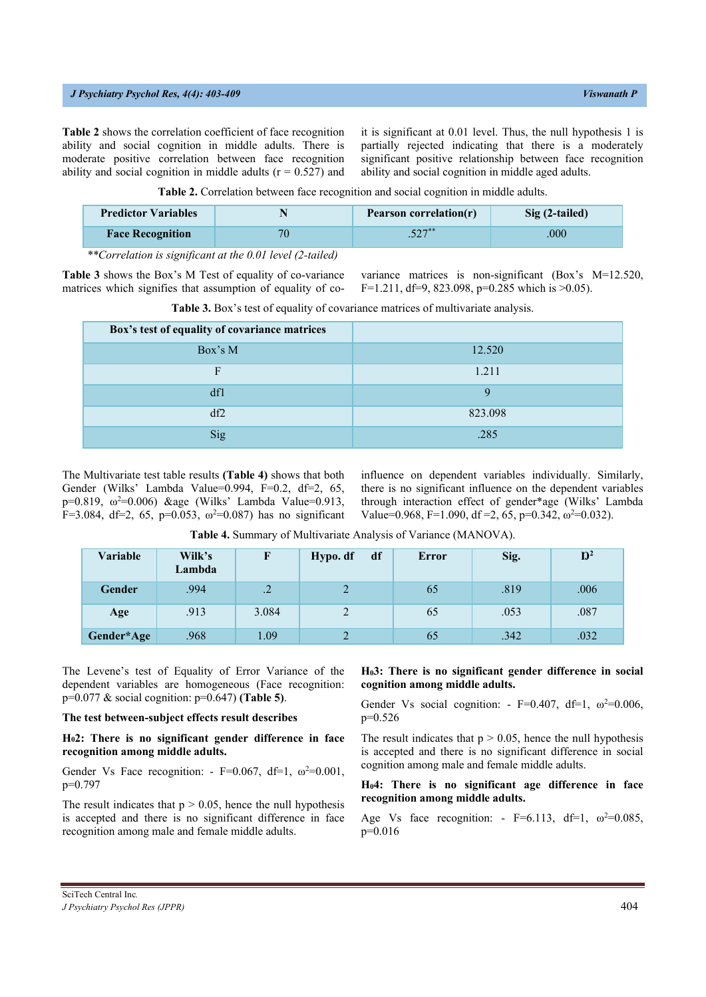#### *J Psychiatry Psychol Res, 4(2): 402-408 Viswanath P*

**Table 2** shows the correlation coefficient of face recognition ability and social cognition in middle adults. There is moderate positive correlation between face recognition ability and social cognition in middle adults ( $r = 0.527$ ) and it is significant at 0.01 level. Thus, the null hypothesis 1 is partially rejected indicating that there is a moderately significant positive relationship between face recognition ability and social cognition in middle aged adults.

| Table 2. Correlation between face recognition and social cognition in middle adults. |  |  |  |
|--------------------------------------------------------------------------------------|--|--|--|
|--------------------------------------------------------------------------------------|--|--|--|

| <b>Predictor Variables</b> |    | <b>Pearson correlation(r)</b> | Sig (2-tailed) |  |
|----------------------------|----|-------------------------------|----------------|--|
| <b>Face Recognition</b>    | 70 | $.527**$                      | .000           |  |

*\*\*Correlation is significant at the 0.01 level (2-tailed)*

**Table 3** shows the Box's M Test of equality of co-variance matrices which signifies that assumption of equality of covariance matrices is non-significant (Box's M=12.520, F=1.211, df=9, 823.098, p=0.285 which is  $>0.05$ ).

| Box's test of equality of covariance matrices |         |
|-----------------------------------------------|---------|
| Box's M                                       | 12.520  |
| F                                             | 1.211   |
| df1                                           | Q       |
| df2                                           | 823.098 |
| Sig                                           | .285    |

**Table 3.** Box's test of equality of covariance matrices of multivariate analysis.

The Multivariate test table results **(Table 4)** shows that both Gender (Wilks' Lambda Value=0.994, F=0.2, df=2, 65, p=0.819,  $ω^2=0.006$ ) &age (Wilks' Lambda Value=0.913, F=3.084, df=2, 65, p=0.053,  $\omega^2$ =0.087) has no significant influence on dependent variables individually. Similarly, there is no significant influence on the dependent variables through interaction effect of gender\*age (Wilks' Lambda Value=0.968, F=1.090, df =2, 65, p=0.342,  $\omega^2$ =0.032).

| Table 4. Summary of Multivariate Analysis of Variance (MANOVA). |  |
|-----------------------------------------------------------------|--|
|-----------------------------------------------------------------|--|

| Variable      | Wilk's<br>Lambda |                 | df<br>Hypo. df | <b>Error</b> | Sig. | $\mathbf{D}^2$ |
|---------------|------------------|-----------------|----------------|--------------|------|----------------|
| <b>Gender</b> | .994             | $\overline{.2}$ |                | 65           | .819 | .006           |
| Age           | .913             | 3.084           | ↑              | 65           | .053 | .087           |
| Gender*Age    | .968             | 1.09            |                | 65           | .342 | .032           |

The Levene's test of Equality of Error Variance of the dependent variables are homogeneous (Face recognition: p=0.077 & social cognition: p=0.647) **(Table 5)**.

#### **The test between-subject effects result describes**

**H02: There is no significant gender difference in face recognition among middle adults.** 

Gender Vs Face recognition: - F=0.067, df=1,  $\omega^2$ =0.001, p=0.797

The result indicates that  $p > 0.05$ , hence the null hypothesis is accepted and there is no significant difference in face recognition among male and female middle adults.

## **H03: There is no significant gender difference in social cognition among middle adults.**

Gender Vs social cognition: - F=0.407, df=1,  $\omega^2$ =0.006, p=0.526

The result indicates that  $p > 0.05$ , hence the null hypothesis is accepted and there is no significant difference in social cognition among male and female middle adults.

**H04: There is no significant age difference in face recognition among middle adults.** 

Age Vs face recognition: - F=6.113, df=1,  $\omega^2$ =0.085, p=0.016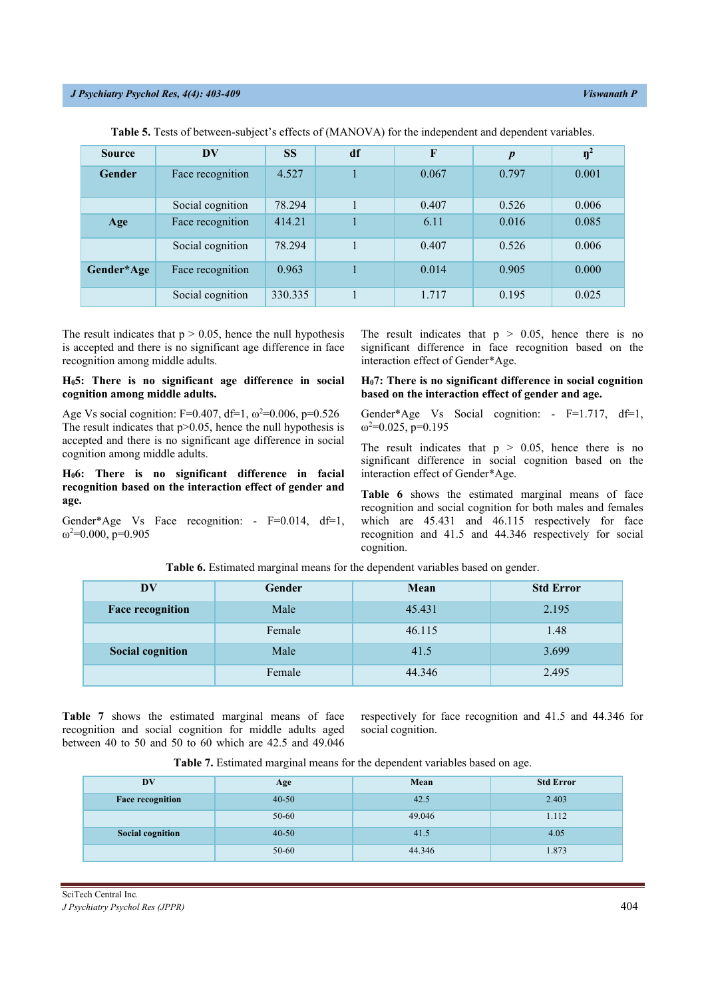| <b>Source</b> | $\overline{\mathbf{D}}\mathbf{V}$ | <b>SS</b> | df | F     | $\boldsymbol{p}$ | $\eta^2$ |
|---------------|-----------------------------------|-----------|----|-------|------------------|----------|
| <b>Gender</b> | Face recognition                  | 4.527     |    | 0.067 | 0.797            | 0.001    |
|               | Social cognition                  | 78.294    |    | 0.407 | 0.526            | 0.006    |
| Age           | Face recognition                  | 414.21    |    | 6.11  | 0.016            | 0.085    |
|               | Social cognition                  | 78.294    |    | 0.407 | 0.526            | 0.006    |
| Gender*Age    | Face recognition                  | 0.963     |    | 0.014 | 0.905            | 0.000    |
|               | Social cognition                  | 330.335   |    | 1.717 | 0.195            | 0.025    |

**Table 5.** Tests of between-subject's effects of (MANOVA) for the independent and dependent variables.

The result indicates that  $p > 0.05$ , hence the null hypothesis is accepted and there is no significant age difference in face recognition among middle adults.

## **H05: There is no significant age difference in social cognition among middle adults.**

Age Vs social cognition: F=0.407, df=1,  $\omega^2$ =0.006, p=0.526 The result indicates that  $p > 0.05$ , hence the null hypothesis is accepted and there is no significant age difference in social cognition among middle adults.

**H06: There is no significant difference in facial recognition based on the interaction effect of gender and age.** 

Gender\*Age Vs Face recognition: - F=0.014, df=1,  $ω<sup>2</sup>=0.000, p=0.905$ 

The result indicates that  $p > 0.05$ , hence there is no significant difference in face recognition based on the interaction effect of Gender\*Age.

## **H07: There is no significant difference in social cognition based on the interaction effect of gender and age.**

Gender\*Age Vs Social cognition: - F=1.717, df=1,  $ω<sup>2</sup>=0.025, p=0.195$ 

The result indicates that  $p > 0.05$ , hence there is no significant difference in social cognition based on the interaction effect of Gender\*Age.

**Table 6** shows the estimated marginal means of face recognition and social cognition for both males and females which are 45.431 and 46.115 respectively for face recognition and 41.5 and 44.346 respectively for social cognition.

| <b>DV</b>                       | Gender | Mean   | <b>Std Error</b> |
|---------------------------------|--------|--------|------------------|
| <b>Face recognition</b>         | Male   | 45.431 | 2.195            |
|                                 | Female | 46.115 | 1.48             |
| <b>Social cognition</b><br>Male |        | 41.5   | 3.699            |
| Female                          |        | 44.346 | 2.495            |

**Table 6.** Estimated marginal means for the dependent variables based on gender.

**Table 7** shows the estimated marginal means of face recognition and social cognition for middle adults aged between 40 to 50 and 50 to 60 which are 42.5 and 49.046

respectively for face recognition and 41.5 and 44.346 for social cognition.

**Table 7.** Estimated marginal means for the dependent variables based on age.

| $\mathbf{D}\mathbf{V}$  | Age       | Mean   | <b>Std Error</b> |
|-------------------------|-----------|--------|------------------|
| <b>Face recognition</b> | $40 - 50$ |        | 2.403            |
|                         | 50-60     | 49.046 | 1.112            |
| Social cognition        | $40 - 50$ | 41.5   | 4.05             |
|                         | 50-60     | 44.346 | 1.873            |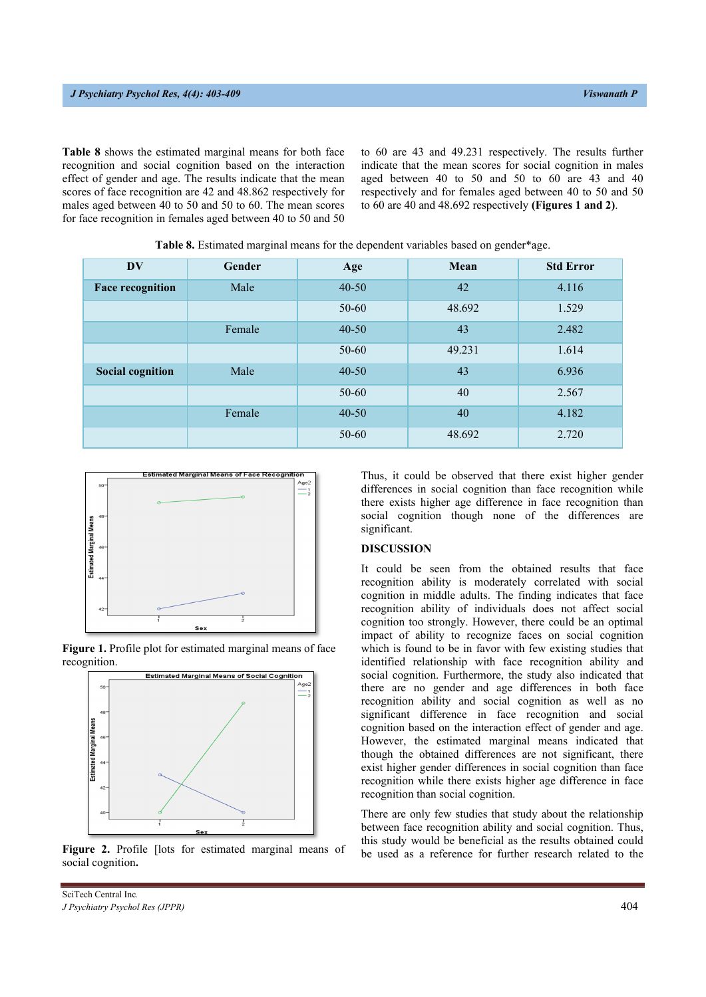**Table 8** shows the estimated marginal means for both face recognition and social cognition based on the interaction effect of gender and age. The results indicate that the mean scores of face recognition are 42 and 48.862 respectively for males aged between 40 to 50 and 50 to 60. The mean scores for face recognition in females aged between 40 to 50 and 50

to 60 are 43 and 49.231 respectively. The results further indicate that the mean scores for social cognition in males aged between 40 to 50 and 50 to 60 are 43 and 40 respectively and for females aged between 40 to 50 and 50 to 60 are 40 and 48.692 respectively **(Figures 1 and 2)**.

| <b>DV</b>               | <b>Gender</b> | Age       | Mean   | <b>Std Error</b> |
|-------------------------|---------------|-----------|--------|------------------|
| <b>Face recognition</b> | Male          | $40 - 50$ | 42     | 4.116            |
|                         |               | $50 - 60$ | 48.692 | 1.529            |
|                         | Female        | $40 - 50$ | 43     | 2.482            |
|                         |               | $50 - 60$ | 49.231 | 1.614            |
| <b>Social cognition</b> | Male          | $40 - 50$ | 43     | 6.936            |
|                         |               | $50 - 60$ | 40     | 2.567            |
|                         | Female        | $40 - 50$ | 40     | 4.182            |
|                         |               | $50 - 60$ | 48.692 | 2.720            |

**Table 8.** Estimated marginal means for the dependent variables based on gender\*age.







**Figure 2.** Profile [lots for estimated marginal means of social cognition**.**

Thus, it could be observed that there exist higher gender differences in social cognition than face recognition while there exists higher age difference in face recognition than social cognition though none of the differences are significant.

## **DISCUSSION**

It could be seen from the obtained results that face recognition ability is moderately correlated with social cognition in middle adults. The finding indicates that face recognition ability of individuals does not affect social cognition too strongly. However, there could be an optimal impact of ability to recognize faces on social cognition which is found to be in favor with few existing studies that identified relationship with face recognition ability and social cognition. Furthermore, the study also indicated that there are no gender and age differences in both face recognition ability and social cognition as well as no significant difference in face recognition and social cognition based on the interaction effect of gender and age. However, the estimated marginal means indicated that though the obtained differences are not significant, there exist higher gender differences in social cognition than face recognition while there exists higher age difference in face recognition than social cognition.

There are only few studies that study about the relationship between face recognition ability and social cognition. Thus, this study would be beneficial as the results obtained could be used as a reference for further research related to the